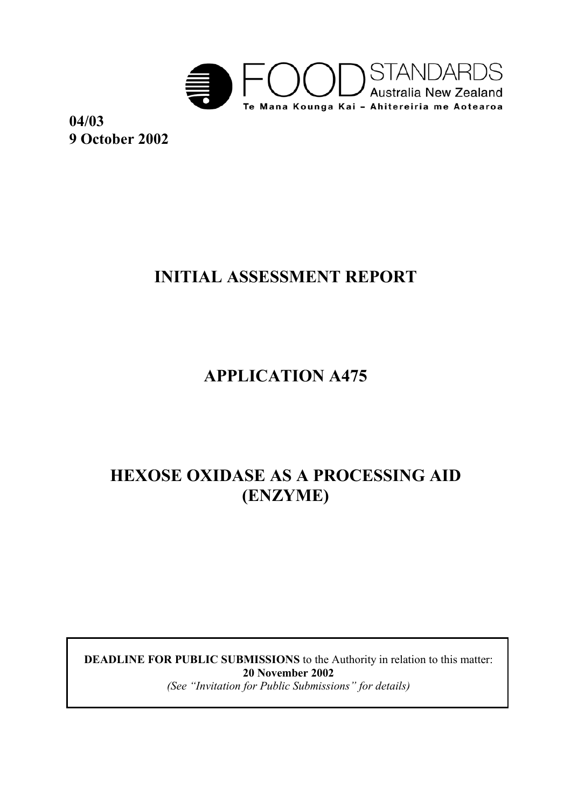

**04/03 9 October 2002**

# **INITIAL ASSESSMENT REPORT**

**APPLICATION A475** 

# **HEXOSE OXIDASE AS A PROCESSING AID (ENZYME)**

**DEADLINE FOR PUBLIC SUBMISSIONS** to the Authority in relation to this matter: **20 November 2002**  *(See "Invitation for Public Submissions" for details)*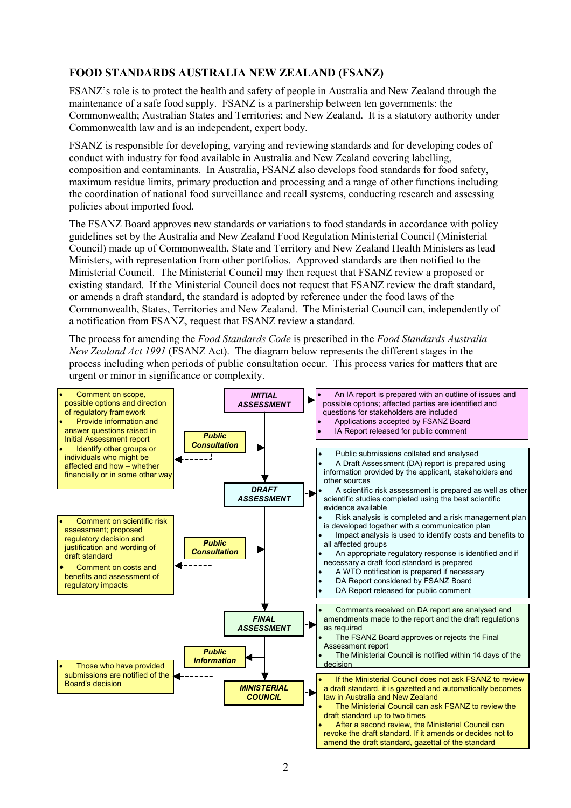#### **FOOD STANDARDS AUSTRALIA NEW ZEALAND (FSANZ)**

FSANZ's role is to protect the health and safety of people in Australia and New Zealand through the maintenance of a safe food supply. FSANZ is a partnership between ten governments: the Commonwealth; Australian States and Territories; and New Zealand. It is a statutory authority under Commonwealth law and is an independent, expert body.

FSANZ is responsible for developing, varying and reviewing standards and for developing codes of conduct with industry for food available in Australia and New Zealand covering labelling, composition and contaminants. In Australia, FSANZ also develops food standards for food safety, maximum residue limits, primary production and processing and a range of other functions including the coordination of national food surveillance and recall systems, conducting research and assessing policies about imported food.

The FSANZ Board approves new standards or variations to food standards in accordance with policy guidelines set by the Australia and New Zealand Food Regulation Ministerial Council (Ministerial Council) made up of Commonwealth, State and Territory and New Zealand Health Ministers as lead Ministers, with representation from other portfolios. Approved standards are then notified to the Ministerial Council. The Ministerial Council may then request that FSANZ review a proposed or existing standard. If the Ministerial Council does not request that FSANZ review the draft standard, or amends a draft standard, the standard is adopted by reference under the food laws of the Commonwealth, States, Territories and New Zealand. The Ministerial Council can, independently of a notification from FSANZ, request that FSANZ review a standard.

The process for amending the *Food Standards Code* is prescribed in the *Food Standards Australia New Zealand Act 1991* (FSANZ Act). The diagram below represents the different stages in the process including when periods of public consultation occur. This process varies for matters that are urgent or minor in significance or complexity.

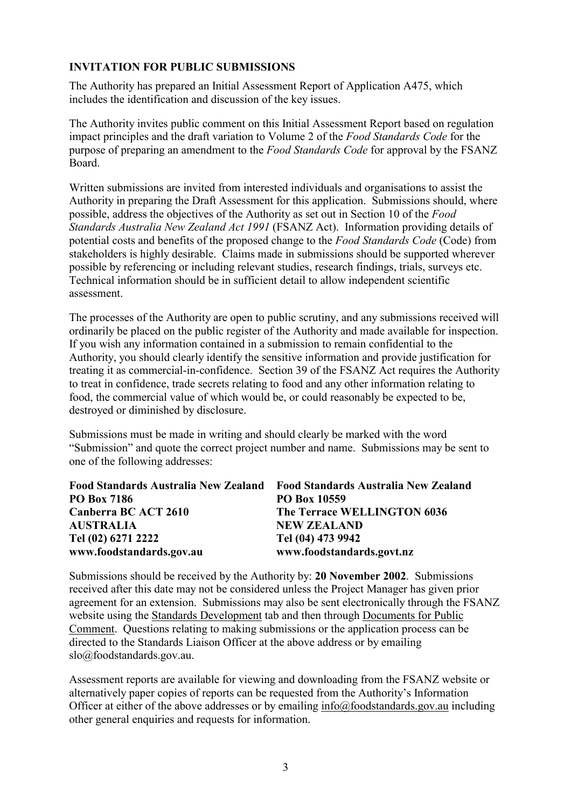#### **INVITATION FOR PUBLIC SUBMISSIONS**

The Authority has prepared an Initial Assessment Report of Application A475, which includes the identification and discussion of the key issues.

The Authority invites public comment on this Initial Assessment Report based on regulation impact principles and the draft variation to Volume 2 of the *Food Standards Code* for the purpose of preparing an amendment to the *Food Standards Code* for approval by the FSANZ Board.

Written submissions are invited from interested individuals and organisations to assist the Authority in preparing the Draft Assessment for this application. Submissions should, where possible, address the objectives of the Authority as set out in Section 10 of the *Food Standards Australia New Zealand Act 1991* (FSANZ Act). Information providing details of potential costs and benefits of the proposed change to the *Food Standards Code* (Code) from stakeholders is highly desirable. Claims made in submissions should be supported wherever possible by referencing or including relevant studies, research findings, trials, surveys etc. Technical information should be in sufficient detail to allow independent scientific assessment.

The processes of the Authority are open to public scrutiny, and any submissions received will ordinarily be placed on the public register of the Authority and made available for inspection. If you wish any information contained in a submission to remain confidential to the Authority, you should clearly identify the sensitive information and provide justification for treating it as commercial-in-confidence. Section 39 of the FSANZ Act requires the Authority to treat in confidence, trade secrets relating to food and any other information relating to food, the commercial value of which would be, or could reasonably be expected to be, destroyed or diminished by disclosure.

Submissions must be made in writing and should clearly be marked with the word "Submission" and quote the correct project number and name. Submissions may be sent to one of the following addresses:

|                          | Food Standards Australia New Zealand Food Standards Australia New Zealand |
|--------------------------|---------------------------------------------------------------------------|
| <b>PO Box 7186</b>       | PO Box 10559                                                              |
| Canberra BC ACT 2610     | The Terrace WELLINGTON 6036                                               |
| <b>AUSTRALIA</b>         | <b>NEW ZEALAND</b>                                                        |
| Tel (02) 6271 2222       | Tel (04) 473 9942                                                         |
| www.foodstandards.gov.au | www.foodstandards.govt.nz                                                 |

Submissions should be received by the Authority by: **20 November 2002**. Submissions received after this date may not be considered unless the Project Manager has given prior agreement for an extension. Submissions may also be sent electronically through the FSANZ website using the Standards Development tab and then through Documents for Public Comment. Questions relating to making submissions or the application process can be directed to the Standards Liaison Officer at the above address or by emailing slo@foodstandards.gov.au.

Assessment reports are available for viewing and downloading from the FSANZ website or alternatively paper copies of reports can be requested from the Authority's Information Officer at either of the above addresses or by emailing info@foodstandards.gov.au including other general enquiries and requests for information.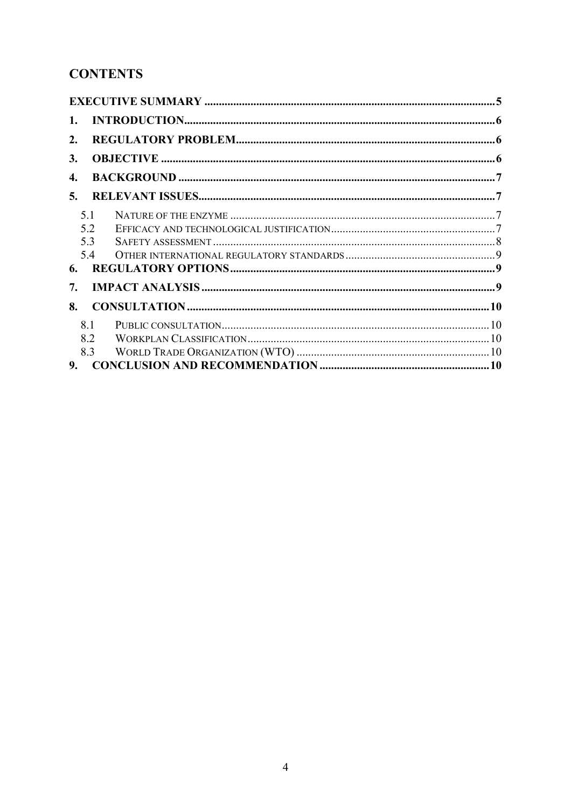# **CONTENTS**

| 1.  |  |
|-----|--|
| 2.  |  |
| 3.  |  |
| 4.  |  |
| 5.  |  |
| 5.1 |  |
| 5.2 |  |
| 5.3 |  |
| 5.4 |  |
| 6.  |  |
| 7.  |  |
| 8.  |  |
| 8.1 |  |
| 8.2 |  |
| 8.3 |  |
| 9.  |  |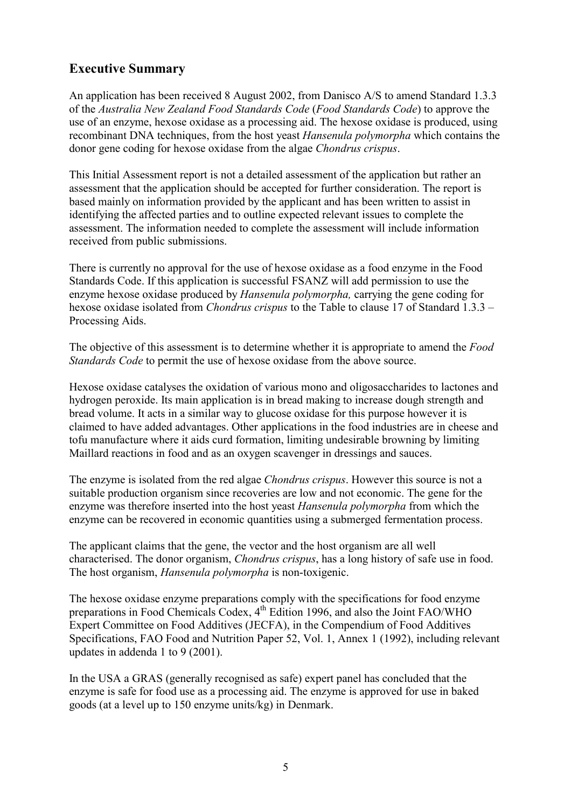## **Executive Summary**

An application has been received 8 August 2002, from Danisco A/S to amend Standard 1.3.3 of the *Australia New Zealand Food Standards Code* (*Food Standards Code*) to approve the use of an enzyme, hexose oxidase as a processing aid. The hexose oxidase is produced, using recombinant DNA techniques, from the host yeast *Hansenula polymorpha* which contains the donor gene coding for hexose oxidase from the algae *Chondrus crispus*.

This Initial Assessment report is not a detailed assessment of the application but rather an assessment that the application should be accepted for further consideration. The report is based mainly on information provided by the applicant and has been written to assist in identifying the affected parties and to outline expected relevant issues to complete the assessment. The information needed to complete the assessment will include information received from public submissions.

There is currently no approval for the use of hexose oxidase as a food enzyme in the Food Standards Code. If this application is successful FSANZ will add permission to use the enzyme hexose oxidase produced by *Hansenula polymorpha,* carrying the gene coding for hexose oxidase isolated from *Chondrus crispus* to the Table to clause 17 of Standard 1.3.3 – Processing Aids.

The objective of this assessment is to determine whether it is appropriate to amend the *Food Standards Code* to permit the use of hexose oxidase from the above source.

Hexose oxidase catalyses the oxidation of various mono and oligosaccharides to lactones and hydrogen peroxide. Its main application is in bread making to increase dough strength and bread volume. It acts in a similar way to glucose oxidase for this purpose however it is claimed to have added advantages. Other applications in the food industries are in cheese and tofu manufacture where it aids curd formation, limiting undesirable browning by limiting Maillard reactions in food and as an oxygen scavenger in dressings and sauces.

The enzyme is isolated from the red algae *Chondrus crispus*. However this source is not a suitable production organism since recoveries are low and not economic. The gene for the enzyme was therefore inserted into the host yeast *Hansenula polymorpha* from which the enzyme can be recovered in economic quantities using a submerged fermentation process.

The applicant claims that the gene, the vector and the host organism are all well characterised. The donor organism, *Chondrus crispus*, has a long history of safe use in food. The host organism, *Hansenula polymorpha* is non-toxigenic.

The hexose oxidase enzyme preparations comply with the specifications for food enzyme preparations in Food Chemicals Codex, 4th Edition 1996, and also the Joint FAO/WHO Expert Committee on Food Additives (JECFA), in the Compendium of Food Additives Specifications, FAO Food and Nutrition Paper 52, Vol. 1, Annex 1 (1992), including relevant updates in addenda 1 to 9 (2001).

In the USA a GRAS (generally recognised as safe) expert panel has concluded that the enzyme is safe for food use as a processing aid. The enzyme is approved for use in baked goods (at a level up to 150 enzyme units/kg) in Denmark.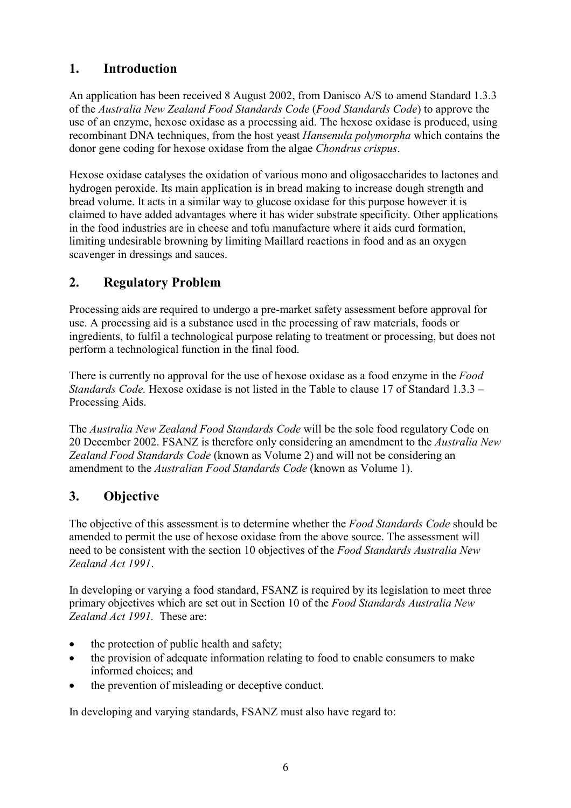# **1. Introduction**

An application has been received 8 August 2002, from Danisco A/S to amend Standard 1.3.3 of the *Australia New Zealand Food Standards Code* (*Food Standards Code*) to approve the use of an enzyme, hexose oxidase as a processing aid. The hexose oxidase is produced, using recombinant DNA techniques, from the host yeast *Hansenula polymorpha* which contains the donor gene coding for hexose oxidase from the algae *Chondrus crispus*.

Hexose oxidase catalyses the oxidation of various mono and oligosaccharides to lactones and hydrogen peroxide. Its main application is in bread making to increase dough strength and bread volume. It acts in a similar way to glucose oxidase for this purpose however it is claimed to have added advantages where it has wider substrate specificity. Other applications in the food industries are in cheese and tofu manufacture where it aids curd formation, limiting undesirable browning by limiting Maillard reactions in food and as an oxygen scavenger in dressings and sauces.

# **2. Regulatory Problem**

Processing aids are required to undergo a pre-market safety assessment before approval for use. A processing aid is a substance used in the processing of raw materials, foods or ingredients, to fulfil a technological purpose relating to treatment or processing, but does not perform a technological function in the final food.

There is currently no approval for the use of hexose oxidase as a food enzyme in the *Food Standards Code.* Hexose oxidase is not listed in the Table to clause 17 of Standard 1.3.3 – Processing Aids.

The *Australia New Zealand Food Standards Code* will be the sole food regulatory Code on 20 December 2002. FSANZ is therefore only considering an amendment to the *Australia New Zealand Food Standards Code* (known as Volume 2) and will not be considering an amendment to the *Australian Food Standards Code* (known as Volume 1).

# **3. Objective**

The objective of this assessment is to determine whether the *Food Standards Code* should be amended to permit the use of hexose oxidase from the above source. The assessment will need to be consistent with the section 10 objectives of the *Food Standards Australia New Zealand Act 1991*.

In developing or varying a food standard, FSANZ is required by its legislation to meet three primary objectives which are set out in Section 10 of the *Food Standards Australia New Zealand Act 1991.* These are:

- $\bullet$ the protection of public health and safety;
- $\bullet$  the provision of adequate information relating to food to enable consumers to make informed choices; and
- the prevention of misleading or deceptive conduct.

In developing and varying standards, FSANZ must also have regard to: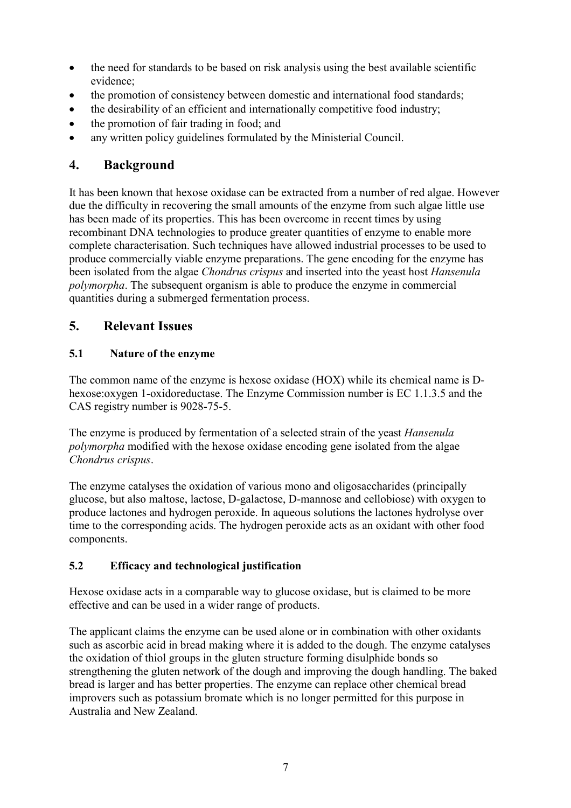- $\bullet$  the need for standards to be based on risk analysis using the best available scientific evidence;
- the promotion of consistency between domestic and international food standards;
- $\bullet$ the desirability of an efficient and internationally competitive food industry;
- the promotion of fair trading in food; and
- any written policy guidelines formulated by the Ministerial Council.

### **4. Background**

It has been known that hexose oxidase can be extracted from a number of red algae. However due the difficulty in recovering the small amounts of the enzyme from such algae little use has been made of its properties. This has been overcome in recent times by using recombinant DNA technologies to produce greater quantities of enzyme to enable more complete characterisation. Such techniques have allowed industrial processes to be used to produce commercially viable enzyme preparations. The gene encoding for the enzyme has been isolated from the algae *Chondrus crispus* and inserted into the yeast host *Hansenula polymorpha*. The subsequent organism is able to produce the enzyme in commercial quantities during a submerged fermentation process.

## **5. Relevant Issues**

#### **5.1 Nature of the enzyme**

The common name of the enzyme is hexose oxidase (HOX) while its chemical name is Dhexose:oxygen 1-oxidoreductase. The Enzyme Commission number is EC 1.1.3.5 and the CAS registry number is 9028-75-5.

The enzyme is produced by fermentation of a selected strain of the yeast *Hansenula polymorpha* modified with the hexose oxidase encoding gene isolated from the algae *Chondrus crispus*.

The enzyme catalyses the oxidation of various mono and oligosaccharides (principally glucose, but also maltose, lactose, D-galactose, D-mannose and cellobiose) with oxygen to produce lactones and hydrogen peroxide. In aqueous solutions the lactones hydrolyse over time to the corresponding acids. The hydrogen peroxide acts as an oxidant with other food components.

#### **5.2 Efficacy and technological justification**

Hexose oxidase acts in a comparable way to glucose oxidase, but is claimed to be more effective and can be used in a wider range of products.

The applicant claims the enzyme can be used alone or in combination with other oxidants such as ascorbic acid in bread making where it is added to the dough. The enzyme catalyses the oxidation of thiol groups in the gluten structure forming disulphide bonds so strengthening the gluten network of the dough and improving the dough handling. The baked bread is larger and has better properties. The enzyme can replace other chemical bread improvers such as potassium bromate which is no longer permitted for this purpose in Australia and New Zealand.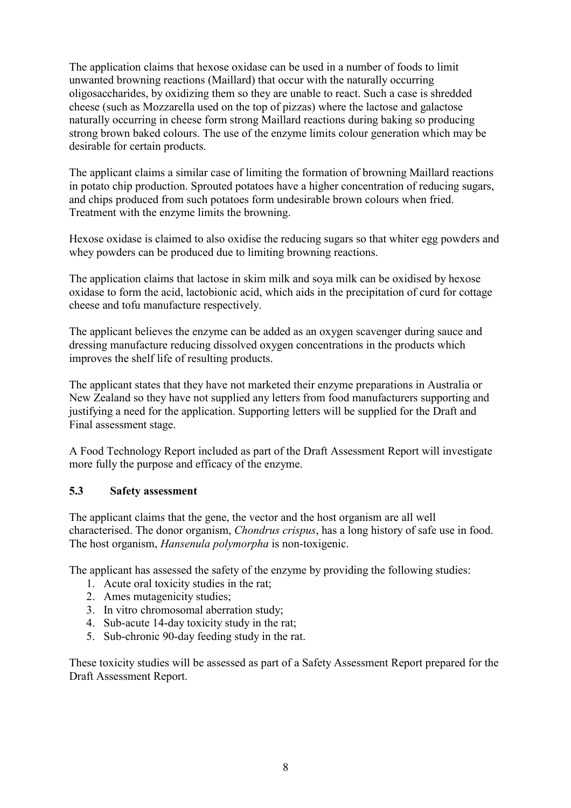The application claims that hexose oxidase can be used in a number of foods to limit unwanted browning reactions (Maillard) that occur with the naturally occurring oligosaccharides, by oxidizing them so they are unable to react. Such a case is shredded cheese (such as Mozzarella used on the top of pizzas) where the lactose and galactose naturally occurring in cheese form strong Maillard reactions during baking so producing strong brown baked colours. The use of the enzyme limits colour generation which may be desirable for certain products.

The applicant claims a similar case of limiting the formation of browning Maillard reactions in potato chip production. Sprouted potatoes have a higher concentration of reducing sugars, and chips produced from such potatoes form undesirable brown colours when fried. Treatment with the enzyme limits the browning.

Hexose oxidase is claimed to also oxidise the reducing sugars so that whiter egg powders and whey powders can be produced due to limiting browning reactions.

The application claims that lactose in skim milk and soya milk can be oxidised by hexose oxidase to form the acid, lactobionic acid, which aids in the precipitation of curd for cottage cheese and tofu manufacture respectively.

The applicant believes the enzyme can be added as an oxygen scavenger during sauce and dressing manufacture reducing dissolved oxygen concentrations in the products which improves the shelf life of resulting products.

The applicant states that they have not marketed their enzyme preparations in Australia or New Zealand so they have not supplied any letters from food manufacturers supporting and justifying a need for the application. Supporting letters will be supplied for the Draft and Final assessment stage.

A Food Technology Report included as part of the Draft Assessment Report will investigate more fully the purpose and efficacy of the enzyme.

#### **5.3 Safety assessment**

The applicant claims that the gene, the vector and the host organism are all well characterised. The donor organism, *Chondrus crispus*, has a long history of safe use in food. The host organism, *Hansenula polymorpha* is non-toxigenic.

The applicant has assessed the safety of the enzyme by providing the following studies:

- 1. Acute oral toxicity studies in the rat;
- 2. Ames mutagenicity studies;
- 3. In vitro chromosomal aberration study;
- 4. Sub-acute 14-day toxicity study in the rat;
- 5. Sub-chronic 90-day feeding study in the rat.

These toxicity studies will be assessed as part of a Safety Assessment Report prepared for the Draft Assessment Report.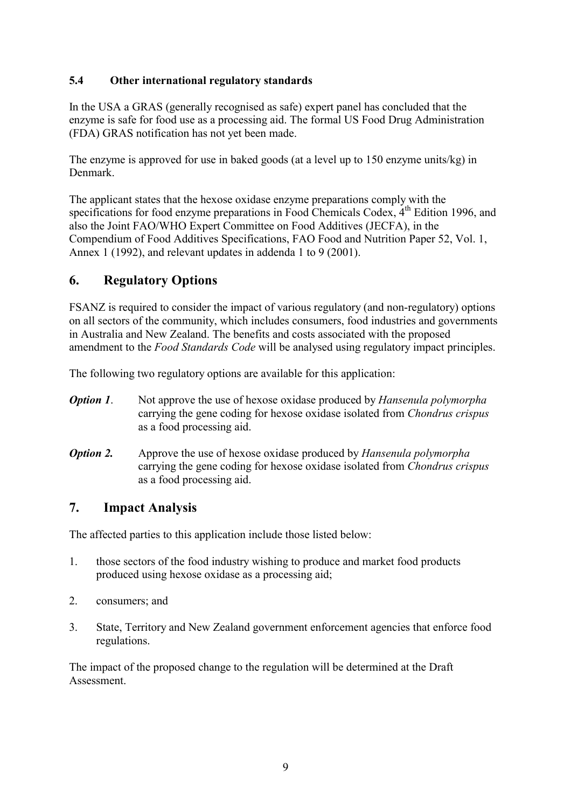#### **5.4 Other international regulatory standards**

In the USA a GRAS (generally recognised as safe) expert panel has concluded that the enzyme is safe for food use as a processing aid. The formal US Food Drug Administration (FDA) GRAS notification has not yet been made.

The enzyme is approved for use in baked goods (at a level up to 150 enzyme units/kg) in Denmark.

The applicant states that the hexose oxidase enzyme preparations comply with the specifications for food enzyme preparations in Food Chemicals Codex,  $4<sup>th</sup>$  Edition 1996, and also the Joint FAO/WHO Expert Committee on Food Additives (JECFA), in the Compendium of Food Additives Specifications, FAO Food and Nutrition Paper 52, Vol. 1, Annex 1 (1992), and relevant updates in addenda 1 to 9 (2001).

# **6. Regulatory Options**

FSANZ is required to consider the impact of various regulatory (and non-regulatory) options on all sectors of the community, which includes consumers, food industries and governments in Australia and New Zealand. The benefits and costs associated with the proposed amendment to the *Food Standards Code* will be analysed using regulatory impact principles.

The following two regulatory options are available for this application:

- *Option 1*. Not approve the use of hexose oxidase produced by *Hansenula polymorpha*  carrying the gene coding for hexose oxidase isolated from *Chondrus crispus*  as a food processing aid.
- *Option 2.* Approve the use of hexose oxidase produced by *Hansenula polymorpha*  carrying the gene coding for hexose oxidase isolated from *Chondrus crispus*  as a food processing aid.

## **7. Impact Analysis**

The affected parties to this application include those listed below:

- 1. those sectors of the food industry wishing to produce and market food products produced using hexose oxidase as a processing aid;
- 2. consumers; and
- 3. State, Territory and New Zealand government enforcement agencies that enforce food regulations.

The impact of the proposed change to the regulation will be determined at the Draft **Assessment**